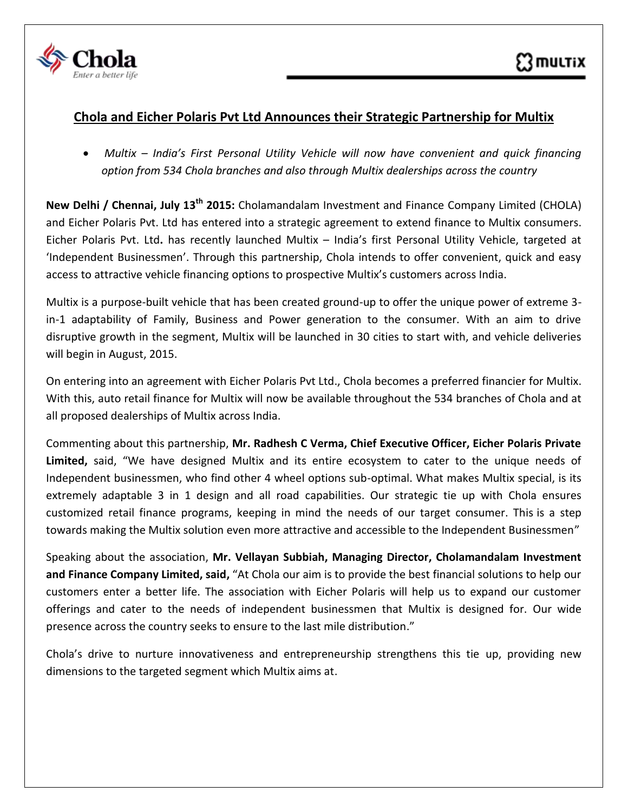

## **Chola and Eicher Polaris Pvt Ltd Announces their Strategic Partnership for Multix**

 *Multix – India's First Personal Utility Vehicle will now have convenient and quick financing option from 534 Chola branches and also through Multix dealerships across the country*

**New Delhi / Chennai, July 13th 2015:** Cholamandalam Investment and Finance Company Limited (CHOLA) and Eicher Polaris Pvt. Ltd has entered into a strategic agreement to extend finance to Multix consumers. Eicher Polaris Pvt. Ltd**.** has recently launched Multix – India's first Personal Utility Vehicle, targeted at 'Independent Businessmen'. Through this partnership, Chola intends to offer convenient, quick and easy access to attractive vehicle financing options to prospective Multix's customers across India.

Multix is a purpose-built vehicle that has been created ground-up to offer the unique power of extreme 3 in-1 adaptability of Family, Business and Power generation to the consumer. With an aim to drive disruptive growth in the segment, Multix will be launched in 30 cities to start with, and vehicle deliveries will begin in August, 2015.

On entering into an agreement with Eicher Polaris Pvt Ltd., Chola becomes a preferred financier for Multix. With this, auto retail finance for Multix will now be available throughout the 534 branches of Chola and at all proposed dealerships of Multix across India.

Commenting about this partnership, **Mr. Radhesh C Verma, Chief Executive Officer, Eicher Polaris Private Limited,** said, "We have designed Multix and its entire ecosystem to cater to the unique needs of Independent businessmen, who find other 4 wheel options sub-optimal. What makes Multix special, is its extremely adaptable 3 in 1 design and all road capabilities. Our strategic tie up with Chola ensures customized retail finance programs, keeping in mind the needs of our target consumer. This is a step towards making the Multix solution even more attractive and accessible to the Independent Businessmen"

Speaking about the association, **Mr. Vellayan Subbiah, Managing Director, Cholamandalam Investment and Finance Company Limited, said,** "At Chola our aim is to provide the best financial solutions to help our customers enter a better life. The association with Eicher Polaris will help us to expand our customer offerings and cater to the needs of independent businessmen that Multix is designed for. Our wide presence across the country seeks to ensure to the last mile distribution."

Chola's drive to nurture innovativeness and entrepreneurship strengthens this tie up, providing new dimensions to the targeted segment which Multix aims at.